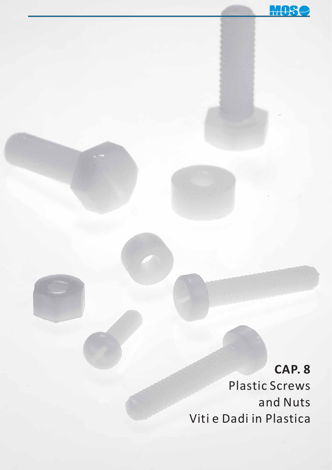

# **CAP. 8**

Plastic Screws and Nuts Viti e Dadi in Plastica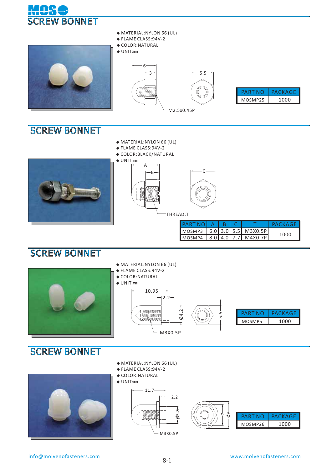



- **◆** MATERIAL:NYLON 66 (UL)
- **◆** FLAME CLASS:94V-2
- **◆** COLOR:NATURAL
- 



#### SCREW BONNET

- **◆** MATERIAL:NYLON 66 (UL)
- **◆** FLAME CLASS:94V-2
- **◆** COLOR:BLACK/NATURAL







| PARTNO  A   B   C          |  |  | PACKAGE |
|----------------------------|--|--|---------|
| MOSMP3 6.0 3.0 5.5 M3X0.5P |  |  |         |
| MOSMP4 8.0 4.0 7.7 M4X0.7P |  |  | 1000    |

### **SCREW BONNET**



## SCREW BONNET



- **◆** MATERIAL:NYLON 66 (UL)
- **◆** FLAME CLASS: 94V-2
- **◆** COLOR:NATURAL
- **◆** UNIT:**㎜**



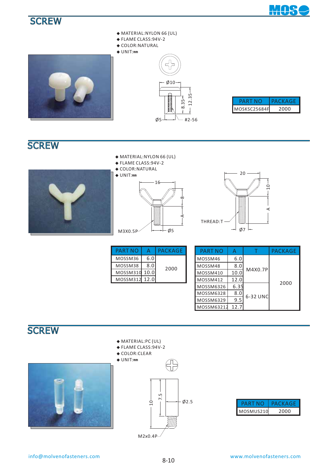## SCREW **PARTS HOUSING**







- **◆** FLAME CLASS: 94V-2
- **◆** COLOR:NATURAL

**◆** UNIT:**㎜**



| PARI         | PACKAGE |
|--------------|---------|
| MOSKSC25684F | フロロロ    |

## **SCREW**



- **◆** FLAME CLASS:94V-2
- **◆** COLOR:NATURAL







| <b>PART NO</b> |     | PACKAGE |  |
|----------------|-----|---------|--|
| MOSSM36        | 6.0 |         |  |
| MOSSM38        | 8.0 | 2000    |  |
| MOSSM310 10.0  |     |         |  |
| MOSSM312 12.0  |     |         |  |

| PART NO    | А    |          | <b>PACKAGE</b> |  |  |
|------------|------|----------|----------------|--|--|
| MOSSM46    | 6.0  |          |                |  |  |
| MOSSM48    | 8.0  | M4X0.7P  |                |  |  |
| MOSSM410   | 10.0 |          |                |  |  |
| MOSSM412   | 12.0 |          | 2000           |  |  |
| MOSSM6326  | 6.35 |          |                |  |  |
| MOSSM6328  | 8.0  | 6-32 UNC |                |  |  |
| MOSSM6329  | 9.5  |          |                |  |  |
| MOSSM63212 | 12.7 |          |                |  |  |

## SCREW PARTS HOUSING





- **◆** FLAME CLASS: 94V-2
- **◆** COLOR:CLEAR





| ואמט      | ZAC KAGI |
|-----------|----------|
| MOSMUS210 | 2000     |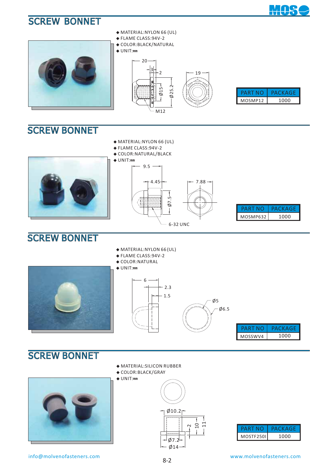## SCREW BONNET



## **SCREW BONNET**

- **◆** MATERIAL:NYLON 66 (UL)
- **◆** FLAME CLASS: 94V-2
- **◆** COLOR:NATURAL/BLACK **◆** UNIT:**㎜**





MOS

## SCREW BONNET

- **◆** MATERIAL:NYLON 66 (UL)
- **◆** FLAME CLASS:94V-2
- **◆** COLOR:NATURAL







| 1 N H   | A (`K A (¬́ ⊦ |
|---------|---------------|
| MOSSWV4 | 1000          |

## SCREW BONNET



info@molvenofasteners.com www.molvenofasteners.com

- **◆** MATERIAL:SILICON RUBBER
- **◆** COLOR:BLACK/GRAY **◆** UNIT:**㎜**



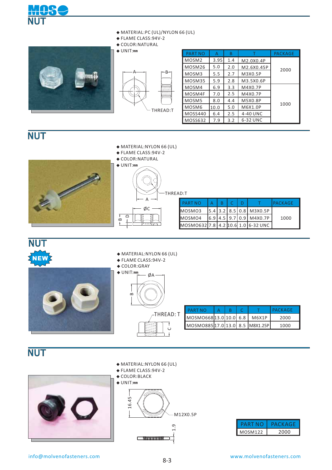



**◆** FLAME CLASS:94V-2







| $\triangle$ UNIT:mm    | <b>PART NO</b>    | A    | B   |            | <b>PACKAGE</b> |
|------------------------|-------------------|------|-----|------------|----------------|
|                        | MOSM <sub>2</sub> | 3.95 | 1.4 | M2.0X0.4P  |                |
|                        | MOSM26            | 5.0  | 2.0 | M2.6X0.45P | 2000           |
| r−B−⊣<br>A             | MOSM3             | 5.5  | 2.7 | M3X0.5P    |                |
|                        | MOSM35            | 5.9  | 2.8 | M3.5X0.6P  |                |
| <b>Y</b> YYYYYY<br>mmu | MOSM4             | 6.9  | 3.3 | M4X0.7P    |                |
| www                    | MOSM4F            | 7.0  | 2.5 | M4X0.7P    |                |
|                        | MOSM5             | 8.0  | 4.4 | M5X0.8P    | 1000           |
| THREAD:T               | MOSM6             | 10.0 | 5.0 | M6X1.0P    |                |
|                        | <b>MOSS440</b>    | 6.4  | 2.5 | 4-40 UNC   |                |
|                        | MOSS632           | 7.9  | 3.2 | 6-32 UNC   |                |

## NUT



- **◆** FLAME CLASS:94V-2
- **◆** COLOR:NATURAL





| <u>.</u>                           |  |  |  |  |                           |                |  |  |
|------------------------------------|--|--|--|--|---------------------------|----------------|--|--|
| <b>PART NO</b>                     |  |  |  |  |                           | <b>PACKAGE</b> |  |  |
| MOSMO3                             |  |  |  |  | $5.4$ 3.2 8.5 0.8 M3X0.5P |                |  |  |
| MOSMO4                             |  |  |  |  | $6.9$ 4.5 9.7 0.9 M4X0.7P | 1000           |  |  |
| MOSMO632 7.8 4.2 10.6 1.0 6-32 UNC |  |  |  |  |                           |                |  |  |

#### NUT  $P$ NEW

- **◆** MATERIAL:NYLON 66 (UL)
- **◆** FLAME CLASS: 94V-2
- 



- 
- **◆** COLOR:GRAY



| <b>PART NO</b>                |  |  | <b>I PACKAGE</b> |
|-------------------------------|--|--|------------------|
| MOSMO668 13.0 10.0 6.8 M6X1P  |  |  | 2000             |
| MOSMO88517.013.0 8.5 M8X1.25P |  |  | 1000             |

## NUT





- 
- **◆** COLOR:BLACK
- **◆** UNIT:**㎜**



|                | . ( ¨K Δ ( -̃ ⊦ |
|----------------|-----------------|
| <b>MOSM122</b> | 2000            |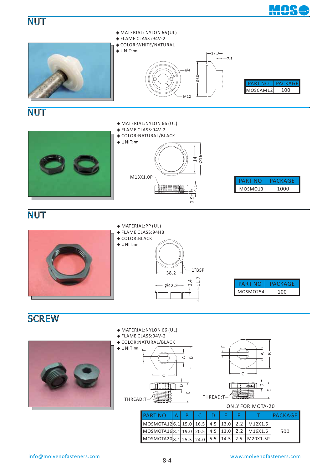



MOSMOTA20

Ø42.2

 $38.2 - 1"$ BSP

 $2.4$ <br>11.7

**◆** FLAME CLASS:94HB **◆** COLOR:BLACK **◆** UNIT:**㎜**

M20X1.5P

5.5 14.5 2.5

MOSMO254

PART NO

PACKAGE 100

8.1

25.5

24.0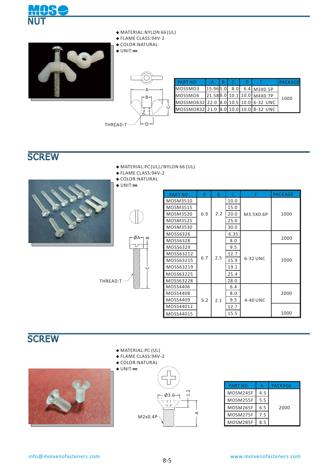



- **◆** MATERIAL:NYLON 66 (UL)
- **◆** FLAME CLASS:94V-2
- **◆** COLOR:NATURAL
- **◆** UNIT:**㎜**



| <b>PART NO</b>                        |          |     |                                         | PACKAGE |
|---------------------------------------|----------|-----|-----------------------------------------|---------|
| MOSSMO3                               | 15.965.0 | 8.0 | $6.4$ M <sub>3</sub> X <sub>0</sub> .5P |         |
| MOSSMO4                               |          |     | 21.588.0 10.1 10.0 M4X0.7P              | 1000    |
| MOSSMO632 22.0 8.0 10.5 10.0 6-32 UNC |          |     |                                         |         |
| MOSSM0832 21.0 8.0 10.0 10.0 8-32 UNC |          |     |                                         |         |

- **◆** MATERIAL:PC (UL)/NYLON 66 (UL)
- **◆** FLAME CLASS:94V-2
- **◆** COLOR:NATURAL







| PART NO   | A   | B    | $\subset$ | т         | <b>PACKAGE</b> |
|-----------|-----|------|-----------|-----------|----------------|
| MOSM3510  |     |      | 10.0      |           |                |
| MOSM3515  |     |      | 15.0      |           |                |
| MOSM3520  | 6.9 | 2.2  | 20.0      | M3.5X0.6P | 1000           |
| MOSM3525  |     |      | 25.0      |           |                |
| MOSM3530  |     |      | 30.0      |           |                |
| MOSS6326  |     |      | 6.35      |           |                |
| MOSS6328  |     |      | 8.0       |           | 2000           |
| MOSS6329  |     |      | 9.5       |           |                |
| MOSS63212 |     |      | 12.7      |           |                |
| MOSS63215 | 6.7 | 2.5  | 15.9      | 6-32 UNC  | 1000           |
| MOSS63219 |     |      | 19.1      |           |                |
| MOSS63225 |     | 25.4 |           |           |                |
| MOSS63228 |     |      | 28.0      |           |                |
| MOSS4406  |     |      | 6.4       |           |                |
| MOSS4408  |     |      | 8.0       |           | 2000           |
| MOSS4409  | 5.2 | 2.1  | 9.5       | 4-40 UNC  |                |
| MOSS44012 |     |      | 12.7      |           |                |
| MOSS44015 |     |      | 15.5      |           | 1000           |

## **SCREW**



- **◆** MATERIAL:PC (UL)
- **◆** FLAME CLASS: 94V-2
- **◆** COLOR:NATURAL
- **◆** UNIT:**㎜** 1.2  $03.6$ Ē i. M2x0.4P

| PART NO  |     | <b>PACKAGE</b> |
|----------|-----|----------------|
| MOSM245F | 4.5 |                |
| MOSM255F | 5.5 |                |
| MOSM265F | 6.5 | 2000           |
| MOSM275F | 7.5 |                |
| MOSM285F | ጸ 5 |                |

A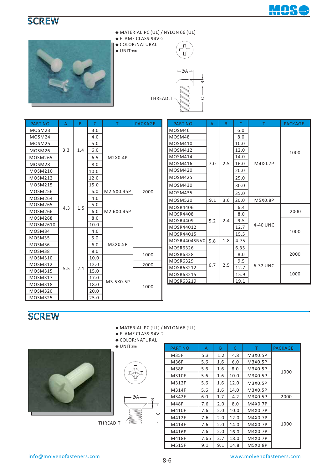



- **◆** MATERIAL:PC (UL) / NYLON 66 (UL)
- **◆** FLAME CLASS:94V-2 **◆** COLOR:NATURAL
- **◆** UNIT:**㎜**





| <b>PART NO</b> | A   | B   | C    | т          | <b>PACKAGE</b> |
|----------------|-----|-----|------|------------|----------------|
| MOSM23         |     |     | 3.0  |            |                |
| MOSM24         |     |     | 4.0  |            |                |
| MOSM25         |     |     | 5.0  |            |                |
| MOSM26         | 3.3 | 1.4 | 6.0  |            |                |
| <b>MOSM265</b> |     |     | 6.5  | M2X0.4P    |                |
| MOSM28         |     |     | 8.0  |            |                |
| MOSM210        |     |     | 10.0 |            |                |
| <b>MOSM212</b> |     |     | 12.0 |            |                |
| <b>MOSM215</b> |     |     | 15.0 |            |                |
| <b>MOSM256</b> |     |     | 6.0  | M2.5X0.45P | 2000           |
| <b>MOSM264</b> |     |     | 4.0  |            |                |
| MOSM265        | 4.3 | 1.5 | 5.0  |            |                |
| <b>MOSM266</b> |     |     | 6.0  | M2.6X0.45P |                |
| <b>MOSM268</b> |     |     | 8.0  |            |                |
| MOSM2610       |     |     | 10.0 |            |                |
| MOSM34         |     |     | 4.0  |            |                |
| MOSM35         |     |     | 5.0  |            |                |
| MOSM36         |     |     | 6.0  | M3X0.5P    |                |
| MOSM38         |     |     | 8.0  |            | 1000           |
| MOSM310        |     |     | 10.0 |            |                |
| MOSM312        |     |     | 12.0 |            | 2000           |
| <b>MOSM315</b> | 5.5 | 2.1 | 15.0 |            |                |
| MOSM317        |     |     | 17.0 |            |                |
| MOSM318        |     |     | 18.0 | M3.5X0.5P  | 1000           |
| <b>MOSM320</b> |     |     | 20.0 |            |                |
| <b>MOSM325</b> |     |     | 25.0 |            |                |

| <b>PART NO</b>  | A   | B.  | C.   | T        | <b>PACKAGE</b> |  |
|-----------------|-----|-----|------|----------|----------------|--|
| MOSM46          |     |     | 6.0  |          |                |  |
| MOSM48          |     |     | 8.0  |          |                |  |
| MOSM410         |     |     | 10.0 |          |                |  |
| <b>MOSM412</b>  |     |     | 12.0 |          | 1000           |  |
| MOSM414         |     |     | 14.0 |          |                |  |
| MOSM416         | 7.0 | 2.5 | 16.0 | M4X0.7P  |                |  |
| <b>MOSM420</b>  |     |     | 20.0 |          |                |  |
| <b>MOSM425</b>  |     |     | 25.0 |          |                |  |
| <b>MOSM430</b>  |     |     | 30.0 |          |                |  |
| <b>MOSM435</b>  |     |     | 35.0 |          |                |  |
| <b>MOSM520</b>  | 9.1 | 3.6 | 20.0 | M5X0.8P  |                |  |
| <b>MOSR4406</b> |     |     | 6.4  |          |                |  |
| <b>MOSR4408</b> |     |     | 8.0  |          | 2000           |  |
| <b>MOSR4409</b> | 5.2 | 2.4 | 9.5  |          |                |  |
| MOSR44012       |     |     | 12.7 | 4-40 UNC |                |  |
| MOSR44015       |     |     | 15.5 |          | 1000           |  |
| MOSR4404SNV0    | 5.8 | 1.8 | 4.75 |          |                |  |
| <b>MOSR6326</b> |     |     | 6.35 |          |                |  |
| <b>MOSR6328</b> |     |     | 8.0  |          | 2000           |  |
| <b>MOSR6329</b> |     |     | 9.5  |          |                |  |
| MOSR63212       | 6.7 | 2.5 | 12.7 | 6-32 UNC |                |  |
| MOSR63215       |     |     | 15.9 |          | 1000           |  |
| MOSR63219       |     |     | 19.1 |          |                |  |

## **SCREW**

- **◆** MATERIAL:PC (UL) / NYLON 66 (UL)
- **◆** FLAME CLASS:94V-2
- ◆ COLOR:NATURAL<br>◆ UNIT:mm



THREAD:T

| $\bullet$ COLOR: IVAI URAL |                |      |     |      |         |                |
|----------------------------|----------------|------|-----|------|---------|----------------|
| $\triangle$ UNIT:mm        | <b>PART NO</b> | A    | B   | C    |         | <b>PACKAGE</b> |
|                            | <b>M35F</b>    | 5.3  | 1.2 | 4.8  | M3X0.5P |                |
|                            | <b>M36F</b>    | 5.6  | 1.6 | 6.0  | M3X0.5P |                |
|                            | M38F           | 5.6  | 1.6 | 8.0  | M3X0.5P | 1000           |
|                            | M310F          | 5.6  | 1.6 | 10.0 | M3X0.5P |                |
|                            | M312F          | 5.6  | 1.6 | 12.0 | M3X0.5P |                |
|                            | M314F          | 5.6  | 1.6 | 14.0 | M3X0.5P |                |
| ØA-<br>B                   | M342F          | 6.0  | 1.7 | 4.2  | M3X0.5P | 2000           |
|                            | <b>M48F</b>    | 7.6  | 2.0 | 8.0  | M4X0.7P |                |
| $\cup$                     | M410F          | 7.6  | 2.0 | 10.0 | M4X0.7P |                |
|                            | M412F          | 7.6  | 2.0 | 12.0 | M4X0.7P |                |
| ):T                        | M414F          | 7.6  | 2.0 | 14.0 | M4X0.7P | 1000           |
|                            | M416F          | 7.6  | 2.0 | 16.0 | M4X0.7P |                |
|                            | M418F          | 7.65 | 2.7 | 18.0 | M4X0.7P |                |
|                            | <b>M515F</b>   | 9.1  | 9.1 | 14.8 | M5X0.8P |                |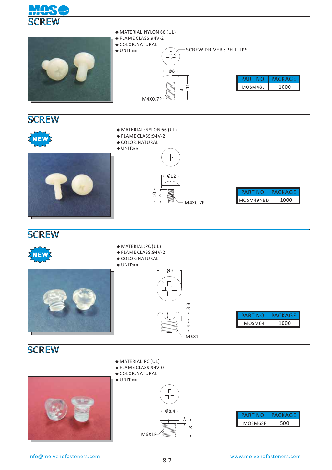





- **◆** MATERIAL:NYLON 66 (UL)
- **◆** FLAME CLASS: 94V-2
- **◆** COLOR:NATURAL **◆** UNIT:**㎜**







- **◆** MATERIAL:PC (UL)
- 
- 



- **◆** FLAME CLASS: 94V-2
- **◆** COLOR:NATURAL
- **◆** UNIT:**㎜**



| PART NO | PACKAGE |
|---------|---------|
| MOSM64  | 1000    |

## **SCREW**





- **◆** FLAME CLASS: 94V-0
- **◆** COLOR:NATURAL





|         | К А (¬ Ի |
|---------|----------|
| MOSM68F | nn       |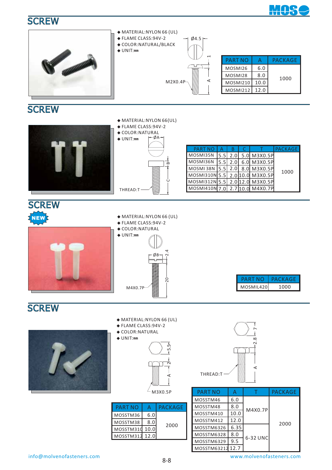



## **SCREW**

|                | $\bullet$ FLAME CLASS:94V-2<br>$\triangle$ COLOR: NATURAL<br>$-ØA-$<br>$\triangle$ UNIT:mm |                                |     |     |                  |                |
|----------------|--------------------------------------------------------------------------------------------|--------------------------------|-----|-----|------------------|----------------|
|                |                                                                                            | <b>PART NC</b>                 |     |     |                  | <b>PACKAGE</b> |
|                |                                                                                            | MOSMI35N                       | 5.5 | 2.0 | 5.0 M3X0.5P      |                |
|                | $\mathbf{a}$                                                                               | MOSMI36N                       | 5.5 | 2.0 | 6.0 M3X0.5P      |                |
|                |                                                                                            | MOSMI 38N 5.5                  |     | 2.0 | 8.0 M3X0.5P      |                |
|                |                                                                                            | MOSMI310N 5.5                  |     |     | 2.0 10.0 M3X0.5P | 1000           |
|                | Ö                                                                                          | MOSMI312N 5.5 2.0 12.0 M3X0.5P |     |     |                  |                |
|                | THREAD:T                                                                                   | MOSMI410N 7.0 2.7 10.0 M4X0.7P |     |     |                  |                |
|                |                                                                                            |                                |     |     |                  |                |
| <b>CODFILL</b> |                                                                                            |                                |     |     |                  |                |

#### SCREW **NEW**

**◆** MATERIAL:NYLON 66 (UL)

**◆** MATERIAL:NYLON 66(UL)

- **◆** FLAME CLASS: 94V-2
- **◆** COLOR:NATURAL



**◆** UNIT:**㎜** 2.4 20  $\phi$ 8-M4X0.7P



## **SCREW**



- **◆** MATERIAL:NYLON 66 (UL)
- **◆** FLAME CLASS:94V-2
- **◆** COLOR:NATURAL **◆** UNIT:**㎜**





| <b>PART NO</b> |     | <b>PACKAGE</b> |  |
|----------------|-----|----------------|--|
| MOSSTM36       | 6.0 |                |  |
| MOSSTM38       | 8.0 | 2000           |  |
| MOSSTM310 10.0 |     |                |  |
| MOSSTM312 12.0 |     |                |  |
|                |     |                |  |

|          | $\frac{8}{2}$ |
|----------|---------------|
|          |               |
|          |               |
| THREAD:T |               |

| <b>PART NO</b> |      |          | PACKAGE |  |  |
|----------------|------|----------|---------|--|--|
| MOSSTM46       | 6.0  |          |         |  |  |
| MOSSTM48       | 8.0  | M4X0.7P  |         |  |  |
| MOSSTM410      | 10.0 |          |         |  |  |
| MOSSTM412      | 12.0 |          | 2000    |  |  |
| MOSSTM6326     | 6.35 |          |         |  |  |
| MOSSTM6328     | 8.0  | 6-32 UNC |         |  |  |
| MOSSTM6329     | 9.5  |          |         |  |  |
| MOSSTM63212    | 12.7 |          |         |  |  |